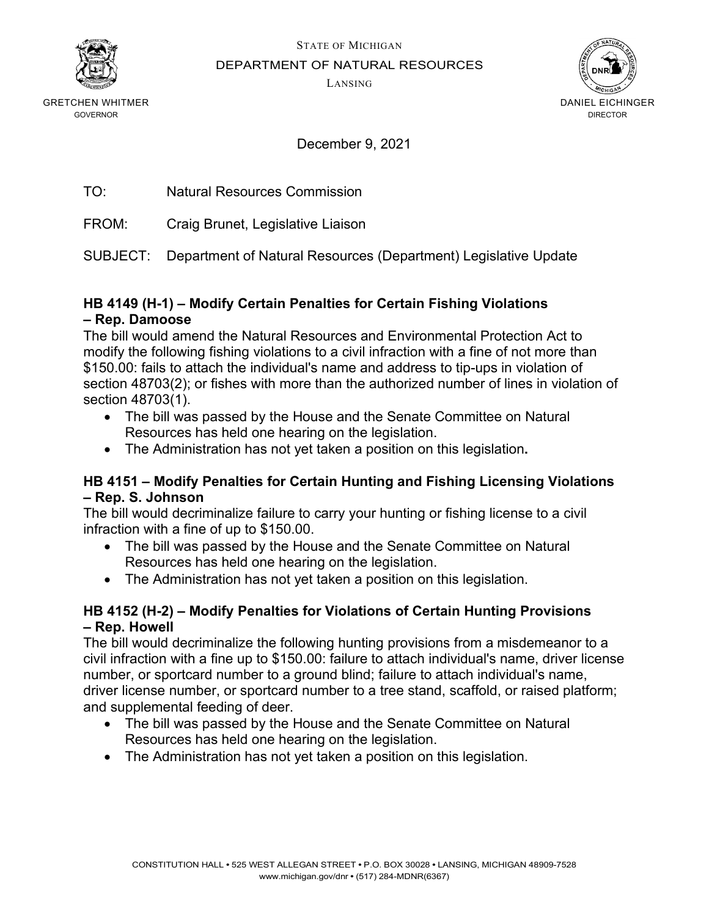

STATE OF MICHIGAN

DEPARTMENT OF NATURAL RESOURCES

LANSING



GRETCHEN WHITMER GOVERNOR

December 9, 2021

TO: Natural Resources Commission

FROM: Craig Brunet, Legislative Liaison

SUBJECT: Department of Natural Resources (Department) Legislative Update

#### **HB 4149 (H-1) – Modify Certain Penalties for Certain Fishing Violations – Rep. Damoose**

The bill would amend the Natural Resources and Environmental Protection Act to modify the following fishing violations to a civil infraction with a fine of not more than \$150.00: fails to attach the individual's name and address to tip-ups in violation of section 48703(2); or fishes with more than the authorized number of lines in violation of section 48703(1).

- The bill was passed by the House and the Senate Committee on Natural Resources has held one hearing on the legislation.
- The Administration has not yet taken a position on this legislation**.**

## **HB 4151 – Modify Penalties for Certain Hunting and Fishing Licensing Violations – Rep. S. Johnson**

The bill would decriminalize failure to carry your hunting or fishing license to a civil infraction with a fine of up to \$150.00.

- The bill was passed by the House and the Senate Committee on Natural Resources has held one hearing on the legislation.
- The Administration has not yet taken a position on this legislation.

## **HB 4152 (H-2) – Modify Penalties for Violations of Certain Hunting Provisions – Rep. Howell**

The bill would decriminalize the following hunting provisions from a misdemeanor to a civil infraction with a fine up to \$150.00: failure to attach individual's name, driver license number, or sportcard number to a ground blind; failure to attach individual's name, driver license number, or sportcard number to a tree stand, scaffold, or raised platform; and supplemental feeding of deer.

- The bill was passed by the House and the Senate Committee on Natural Resources has held one hearing on the legislation.
- The Administration has not yet taken a position on this legislation.